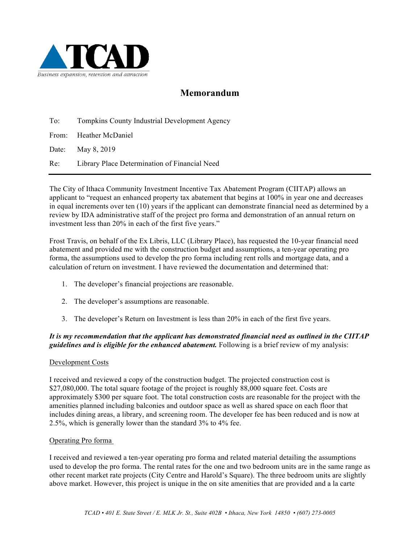

# **Memorandum**

To: Tompkins County Industrial Development Agency

From: Heather McDaniel

Date: May 8, 2019

Re: Library Place Determination of Financial Need

The City of Ithaca Community Investment Incentive Tax Abatement Program (CIITAP) allows an applicant to "request an enhanced property tax abatement that begins at 100% in year one and decreases in equal increments over ten (10) years if the applicant can demonstrate financial need as determined by a review by IDA administrative staff of the project pro forma and demonstration of an annual return on investment less than 20% in each of the first five years."

Frost Travis, on behalf of the Ex Libris, LLC (Library Place), has requested the 10-year financial need abatement and provided me with the construction budget and assumptions, a ten-year operating pro forma, the assumptions used to develop the pro forma including rent rolls and mortgage data, and a calculation of return on investment. I have reviewed the documentation and determined that:

- 1. The developer's financial projections are reasonable.
- 2. The developer's assumptions are reasonable.
- 3. The developer's Return on Investment is less than 20% in each of the first five years.

### *It is my recommendation that the applicant has demonstrated financial need as outlined in the CIITAP guidelines and is eligible for the enhanced abatement.* Following is a brief review of my analysis:

#### Development Costs

I received and reviewed a copy of the construction budget. The projected construction cost is \$27,080,000. The total square footage of the project is roughly 88,000 square feet. Costs are approximately \$300 per square foot. The total construction costs are reasonable for the project with the amenities planned including balconies and outdoor space as well as shared space on each floor that includes dining areas, a library, and screening room. The developer fee has been reduced and is now at 2.5%, which is generally lower than the standard 3% to 4% fee.

#### Operating Pro forma

I received and reviewed a ten-year operating pro forma and related material detailing the assumptions used to develop the pro forma. The rental rates for the one and two bedroom units are in the same range as other recent market rate projects (City Centre and Harold's Square). The three bedroom units are slightly above market. However, this project is unique in the on site amenities that are provided and a la carte